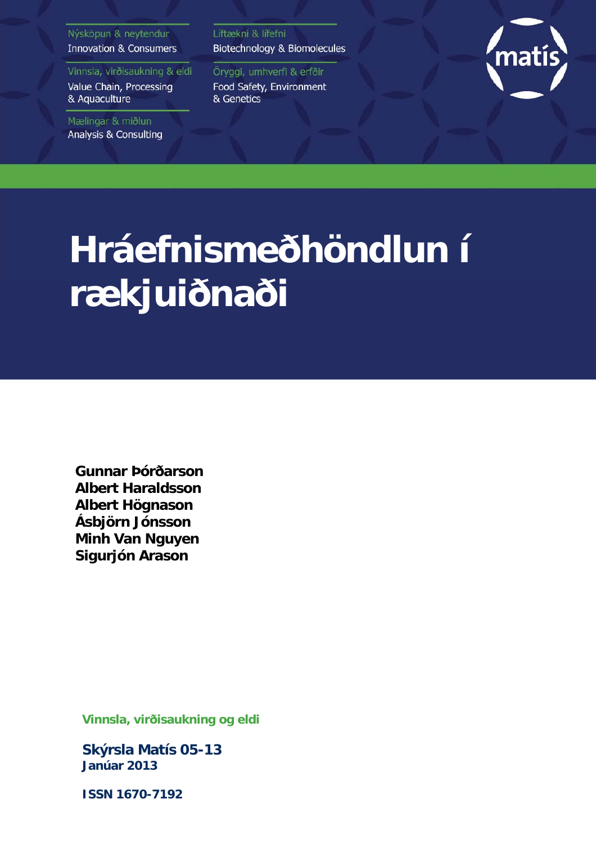#### Nýsköpun & neytendur **Innovation & Consumers**

Vinnsla, virðisaukning & eldi Value Chain, Processing & Aquaculture

Mælingar & miðlun Analysis & Consulting Líftækni & lífefni Biotechnology & Biomolecules

Öryggi, umhverfi & erfðir Food Safety, Environment & Genetics



## **Hráefnismeðhöndlun í rækjuiðnaði**

**Gunnar Þórðarson Albert Haraldsson Albert Högnason Ásbjörn Jónsson Minh Van Nguyen Sigurjón Arason**

**Vinnsla, virðisaukning og eldi** 

**Skýrsla Matís 05-13 Janúar 2013** 

**ISSN 1670-7192**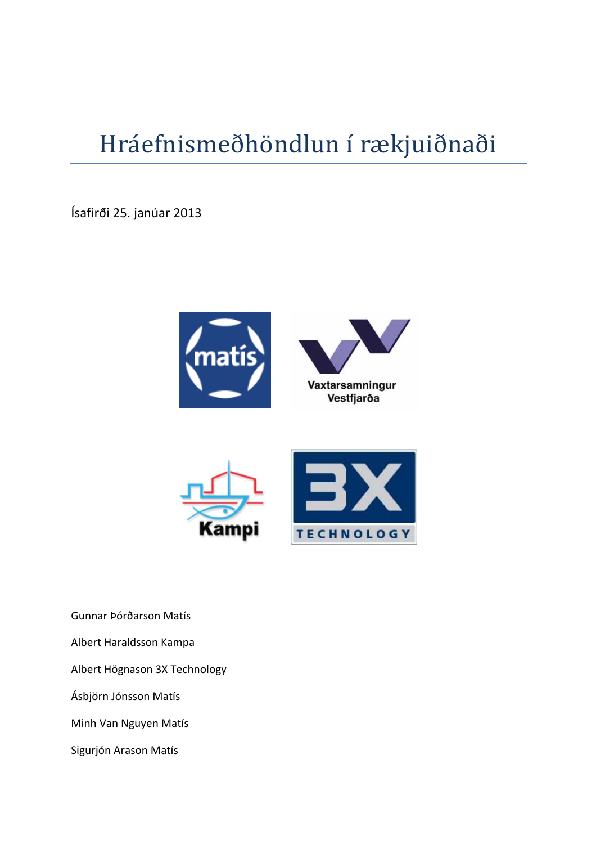## Hráefnismeðhöndlun í rækjuiðnaði

Ísafirði 25. janúar 2013





Gunnar Þórðarson Matís Albert Haraldsson Kampa Albert Högnason 3X Technology Ásbjörn Jónsson Matís Minh Van Nguyen Matís

Sigurjón Arason Matís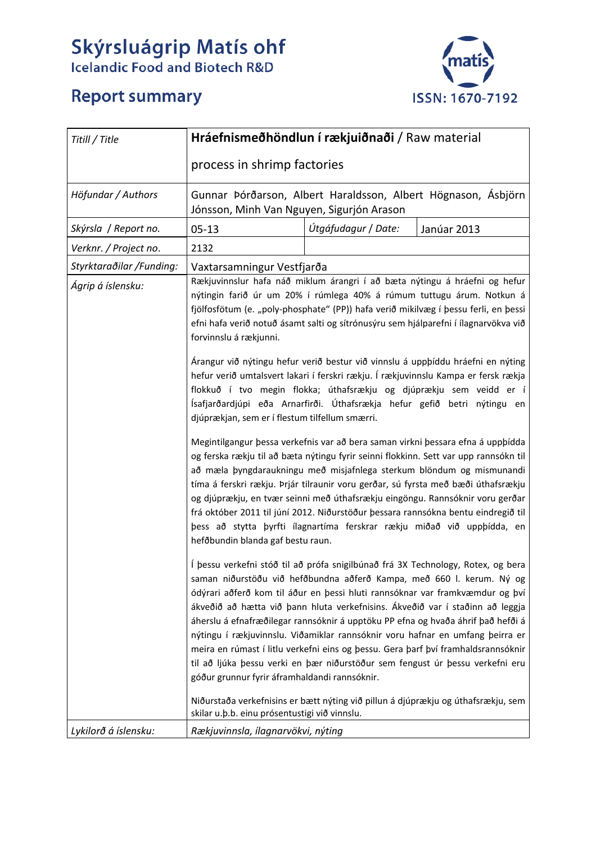# Skýrsluágrip Matís ohf<br>Icelandic Food and Biotech R&D

## **Report summary**



| Titill / Title                                                                                                                                                                                                                                                                                                                                                                                                                                                                                                                                                                                                                                                                                                  | Hráefnismeðhöndlun í rækjuiðnaði / Raw material                                                                                                                                                                                                                                                                                                                                                                                                                                                                                                                                                                                                                                                                                                                         |  |  |  |  |  |  |  |  |
|-----------------------------------------------------------------------------------------------------------------------------------------------------------------------------------------------------------------------------------------------------------------------------------------------------------------------------------------------------------------------------------------------------------------------------------------------------------------------------------------------------------------------------------------------------------------------------------------------------------------------------------------------------------------------------------------------------------------|-------------------------------------------------------------------------------------------------------------------------------------------------------------------------------------------------------------------------------------------------------------------------------------------------------------------------------------------------------------------------------------------------------------------------------------------------------------------------------------------------------------------------------------------------------------------------------------------------------------------------------------------------------------------------------------------------------------------------------------------------------------------------|--|--|--|--|--|--|--|--|
|                                                                                                                                                                                                                                                                                                                                                                                                                                                                                                                                                                                                                                                                                                                 | process in shrimp factories                                                                                                                                                                                                                                                                                                                                                                                                                                                                                                                                                                                                                                                                                                                                             |  |  |  |  |  |  |  |  |
| Höfundar / Authors                                                                                                                                                                                                                                                                                                                                                                                                                                                                                                                                                                                                                                                                                              | Gunnar Þórðarson, Albert Haraldsson, Albert Högnason, Ásbjörn<br>Jónsson, Minh Van Nguyen, Sigurjón Arason                                                                                                                                                                                                                                                                                                                                                                                                                                                                                                                                                                                                                                                              |  |  |  |  |  |  |  |  |
| Skýrsla / Report no.                                                                                                                                                                                                                                                                                                                                                                                                                                                                                                                                                                                                                                                                                            | Útgáfudagur / Date:<br>$05 - 13$<br>Janúar 2013                                                                                                                                                                                                                                                                                                                                                                                                                                                                                                                                                                                                                                                                                                                         |  |  |  |  |  |  |  |  |
| Verknr. / Project no.                                                                                                                                                                                                                                                                                                                                                                                                                                                                                                                                                                                                                                                                                           | 2132                                                                                                                                                                                                                                                                                                                                                                                                                                                                                                                                                                                                                                                                                                                                                                    |  |  |  |  |  |  |  |  |
| Styrktaraðilar /Funding:<br>Ágrip á íslensku:                                                                                                                                                                                                                                                                                                                                                                                                                                                                                                                                                                                                                                                                   | Vaxtarsamningur Vestfjarða<br>Rækjuvinnslur hafa náð miklum árangri í að bæta nýtingu á hráefni og hefur<br>nýtingin farið úr um 20% í rúmlega 40% á rúmum tuttugu árum. Notkun á<br>fjölfosfötum (e. "poly-phosphate" (PP)) hafa verið mikilvæg í þessu ferli, en þessi<br>efni hafa verið notuð ásamt salti og sítrónusýru sem hjálparefni í ílagnarvökva við<br>forvinnslu á rækjunni.<br>Árangur við nýtingu hefur verið bestur við vinnslu á uppþíddu hráefni en nýting<br>hefur verið umtalsvert lakari í ferskri rækju. Í rækjuvinnslu Kampa er fersk rækja<br>flokkuð í tvo megin flokka; úthafsrækju og djúprækju sem veidd er í<br>Ísafjarðardjúpi eða Arnarfirði. Úthafsrækja hefur gefið betri nýtingu en<br>djúprækjan, sem er í flestum tilfellum smærri. |  |  |  |  |  |  |  |  |
| Megintilgangur þessa verkefnis var að bera saman virkni þessara efna á uppþídda<br>og ferska rækju til að bæta nýtingu fyrir seinni flokkinn. Sett var upp rannsókn til<br>að mæla þyngdaraukningu með misjafnlega sterkum blöndum og mismunandi<br>tíma á ferskri rækju. Þrjár tilraunir voru gerðar, sú fyrsta með bæði úthafsrækju<br>og djúprækju, en tvær seinni með úthafsrækju eingöngu. Rannsóknir voru gerðar<br>frá október 2011 til júní 2012. Niðurstöður þessara rannsókna bentu eindregið til<br>þess að stytta þyrfti ílagnartíma ferskrar rækju miðað við uppþídda, en<br>hefðbundin blanda gaf bestu raun.<br>Í þessu verkefni stóð til að prófa snigilbúnað frá 3X Technology, Rotex, og bera |                                                                                                                                                                                                                                                                                                                                                                                                                                                                                                                                                                                                                                                                                                                                                                         |  |  |  |  |  |  |  |  |
|                                                                                                                                                                                                                                                                                                                                                                                                                                                                                                                                                                                                                                                                                                                 | saman niðurstöðu við hefðbundna aðferð Kampa, með 660 l. kerum. Ný og<br>ódýrari aðferð kom til áður en þessi hluti rannsóknar var framkvæmdur og því<br>ákveðið að hætta við þann hluta verkefnisins. Ákveðið var í staðinn að leggja<br>áherslu á efnafræðilegar rannsóknir á upptöku PP efna og hvaða áhrif það hefði á<br>nýtingu í rækjuvinnslu. Viðamiklar rannsóknir voru hafnar en umfang þeirra er<br>meira en rúmast í litlu verkefni eins og þessu. Gera þarf því framhaldsrannsóknir<br>til að ljúka þessu verki en þær niðurstöður sem fengust úr þessu verkefni eru<br>góður grunnur fyrir áframhaldandi rannsóknir.                                                                                                                                      |  |  |  |  |  |  |  |  |
|                                                                                                                                                                                                                                                                                                                                                                                                                                                                                                                                                                                                                                                                                                                 | Niðurstaða verkefnisins er bætt nýting við pillun á djúprækju og úthafsrækju, sem<br>skilar u.b.b. einu prósentustigi við vinnslu.                                                                                                                                                                                                                                                                                                                                                                                                                                                                                                                                                                                                                                      |  |  |  |  |  |  |  |  |
| Lykilorð á íslensku:                                                                                                                                                                                                                                                                                                                                                                                                                                                                                                                                                                                                                                                                                            | Rækjuvinnsla, ílagnarvökvi, nýting                                                                                                                                                                                                                                                                                                                                                                                                                                                                                                                                                                                                                                                                                                                                      |  |  |  |  |  |  |  |  |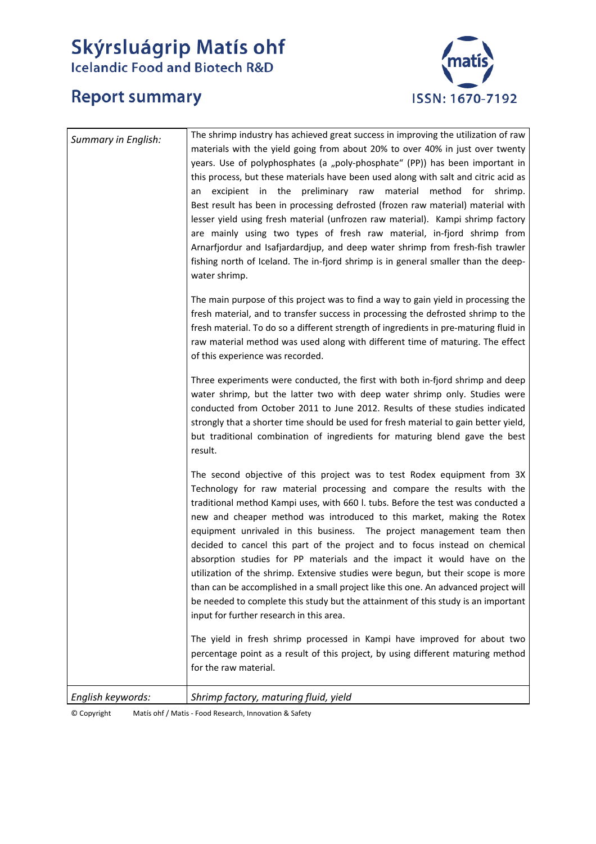# Skýrsluágrip Matís ohf<br>Icelandic Food and Biotech R&D



## **Report summary**

| <b>Summary in English:</b> | The shrimp industry has achieved great success in improving the utilization of raw<br>materials with the yield going from about 20% to over 40% in just over twenty<br>years. Use of polyphosphates (a "poly-phosphate" (PP)) has been important in<br>this process, but these materials have been used along with salt and citric acid as<br>excipient in the preliminary raw<br>material method for shrimp.<br>an<br>Best result has been in processing defrosted (frozen raw material) material with<br>lesser yield using fresh material (unfrozen raw material). Kampi shrimp factory<br>are mainly using two types of fresh raw material, in-fjord shrimp from<br>Arnarfjordur and Isafjardardjup, and deep water shrimp from fresh-fish trawler<br>fishing north of Iceland. The in-fjord shrimp is in general smaller than the deep-<br>water shrimp.<br>The main purpose of this project was to find a way to gain yield in processing the<br>fresh material, and to transfer success in processing the defrosted shrimp to the<br>fresh material. To do so a different strength of ingredients in pre-maturing fluid in<br>raw material method was used along with different time of maturing. The effect<br>of this experience was recorded.<br>Three experiments were conducted, the first with both in-fjord shrimp and deep<br>water shrimp, but the latter two with deep water shrimp only. Studies were<br>conducted from October 2011 to June 2012. Results of these studies indicated<br>strongly that a shorter time should be used for fresh material to gain better yield,<br>but traditional combination of ingredients for maturing blend gave the best<br>result. |
|----------------------------|-------------------------------------------------------------------------------------------------------------------------------------------------------------------------------------------------------------------------------------------------------------------------------------------------------------------------------------------------------------------------------------------------------------------------------------------------------------------------------------------------------------------------------------------------------------------------------------------------------------------------------------------------------------------------------------------------------------------------------------------------------------------------------------------------------------------------------------------------------------------------------------------------------------------------------------------------------------------------------------------------------------------------------------------------------------------------------------------------------------------------------------------------------------------------------------------------------------------------------------------------------------------------------------------------------------------------------------------------------------------------------------------------------------------------------------------------------------------------------------------------------------------------------------------------------------------------------------------------------------------------------------------------------------------------------------------|
|                            | The second objective of this project was to test Rodex equipment from 3X<br>Technology for raw material processing and compare the results with the<br>traditional method Kampi uses, with 660 l. tubs. Before the test was conducted a<br>new and cheaper method was introduced to this market, making the Rotex<br>equipment unrivaled in this business. The project management team then<br>decided to cancel this part of the project and to focus instead on chemical<br>absorption studies for PP materials and the impact it would have on the<br>utilization of the shrimp. Extensive studies were begun, but their scope is more<br>than can be accomplished in a small project like this one. An advanced project will<br>be needed to complete this study but the attainment of this study is an important<br>input for further research in this area.<br>The yield in fresh shrimp processed in Kampi have improved for about two<br>percentage point as a result of this project, by using different maturing method<br>for the raw material.                                                                                                                                                                                                                                                                                                                                                                                                                                                                                                                                                                                                                                |
| English keywords:          | Shrimp factory, maturing fluid, yield                                                                                                                                                                                                                                                                                                                                                                                                                                                                                                                                                                                                                                                                                                                                                                                                                                                                                                                                                                                                                                                                                                                                                                                                                                                                                                                                                                                                                                                                                                                                                                                                                                                     |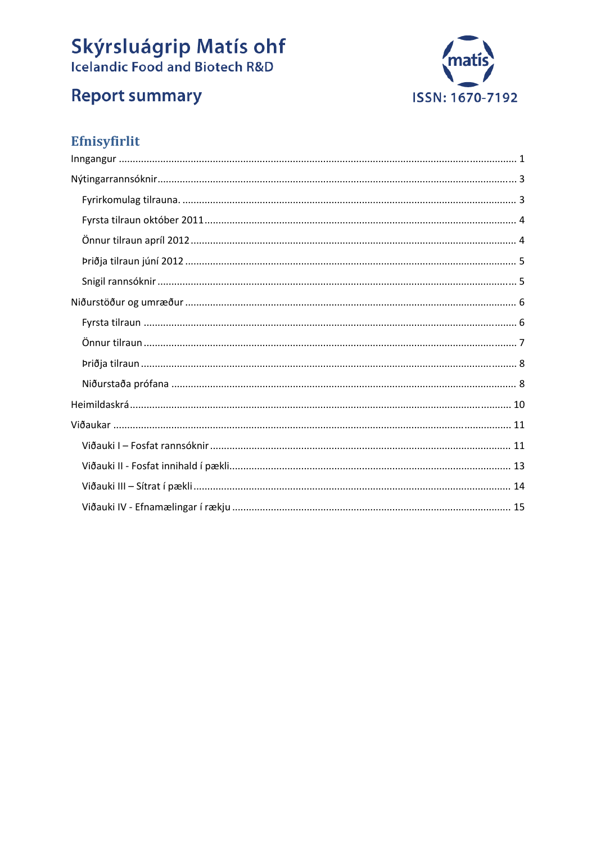# **Skýrsluágrip Matís ohf**<br>Icelandic Food and Biotech R&D





## Efnisyfirlit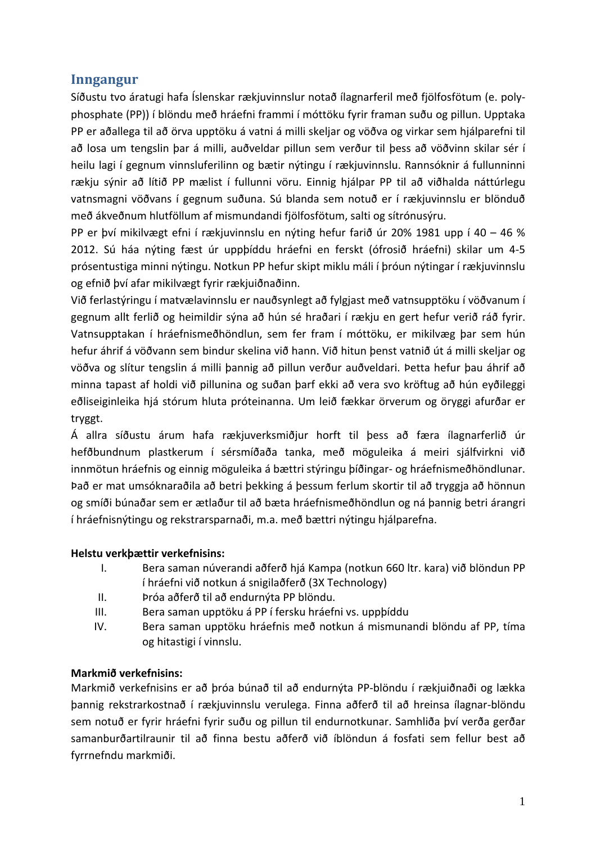#### **Inngangur**

Síðustu tvo áratugi hafa Íslenskar rækjuvinnslur notað ílagnarferil með fjölfosfötum (e. poly‐ phosphate (PP)) í blöndu með hráefni frammi í móttöku fyrir framan suðu og pillun. Upptaka PP er aðallega til að örva upptöku á vatni á milli skeljar og vöðva og virkar sem hjálparefni til að losa um tengslin þar á milli, auðveldar pillun sem verður til þess að vöðvinn skilar sér í heilu lagi í gegnum vinnsluferilinn og bætir nýtingu í rækjuvinnslu. Rannsóknir á fullunninni rækju sýnir að lítið PP mælist í fullunni vöru. Einnig hjálpar PP til að viðhalda náttúrlegu vatnsmagni vöðvans í gegnum suðuna. Sú blanda sem notuð er í rækjuvinnslu er blönduð með ákveðnum hlutföllum af mismundandi fjölfosfötum, salti og sítrónusýru.

PP er því mikilvægt efni í rækjuvinnslu en nýting hefur farið úr 20% 1981 upp í 40 – 46 % 2012. Sú háa nýting fæst úr uppþíddu hráefni en ferskt (ófrosið hráefni) skilar um 4‐5 prósentustiga minni nýtingu. Notkun PP hefur skipt miklu máli í þróun nýtingar í rækjuvinnslu og efnið því afar mikilvægt fyrir rækjuiðnaðinn.

Við ferlastýringu í matvælavinnslu er nauðsynlegt að fylgjast með vatnsupptöku í vöðvanum í gegnum allt ferlið og heimildir sýna að hún sé hraðari í rækju en gert hefur verið ráð fyrir. Vatnsupptakan í hráefnismeðhöndlun, sem fer fram í móttöku, er mikilvæg þar sem hún hefur áhrif á vöðvann sem bindur skelina við hann. Við hitun þenst vatnið út á milli skeljar og vöðva og slítur tengslin á milli þannig að pillun verður auðveldari. Þetta hefur þau áhrif að minna tapast af holdi við pillunina og suðan þarf ekki að vera svo kröftug að hún eyðileggi eðliseiginleika hjá stórum hluta próteinanna. Um leið fækkar örverum og öryggi afurðar er tryggt.

Á allra síðustu árum hafa rækjuverksmiðjur horft til þess að færa ílagnarferlið úr hefðbundnum plastkerum í sérsmíðaða tanka, með möguleika á meiri sjálfvirkni við innmötun hráefnis og einnig möguleika á bættri stýringu þíðingar‐ og hráefnismeðhöndlunar. Það er mat umsóknaraðila að betri þekking á þessum ferlum skortir til að tryggja að hönnun og smíði búnaðar sem er ætlaður til að bæta hráefnismeðhöndlun og ná þannig betri árangri í hráefnisnýtingu og rekstrarsparnaði, m.a. með bættri nýtingu hjálparefna.

#### **Helstu verkþættir verkefnisins:**

- I. Bera saman núverandi aðferð hjá Kampa (notkun 660 ltr. kara) við blöndun PP í hráefni við notkun á snigilaðferð (3X Technology)
- II. Þróa aðferð til að endurnýta PP blöndu.
- III. Bera saman upptöku á PP í fersku hráefni vs. uppþíddu
- IV. Bera saman upptöku hráefnis með notkun á mismunandi blöndu af PP, tíma og hitastigi í vinnslu.

#### **Markmið verkefnisins:**

Markmið verkefnisins er að þróa búnað til að endurnýta PP‐blöndu í rækjuiðnaði og lækka þannig rekstrarkostnað í rækjuvinnslu verulega. Finna aðferð til að hreinsa ílagnar‐blöndu sem notuð er fyrir hráefni fyrir suðu og pillun til endurnotkunar. Samhliða því verða gerðar samanburðartilraunir til að finna bestu aðferð við íblöndun á fosfati sem fellur best að fyrrnefndu markmiði.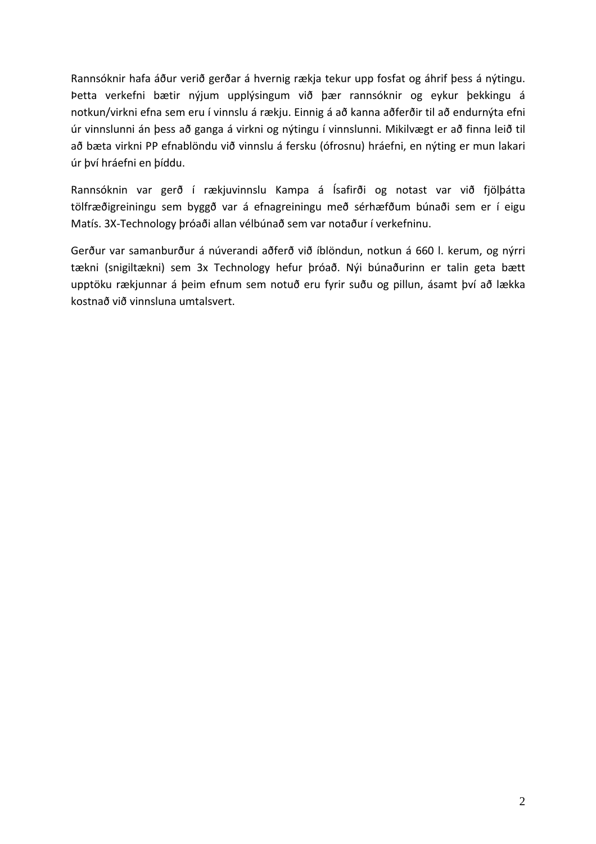Rannsóknir hafa áður verið gerðar á hvernig rækja tekur upp fosfat og áhrif þess á nýtingu. Þetta verkefni bætir nýjum upplýsingum við þær rannsóknir og eykur þekkingu á notkun/virkni efna sem eru í vinnslu á rækju. Einnig á að kanna aðferðir til að endurnýta efni úr vinnslunni án þess að ganga á virkni og nýtingu í vinnslunni. Mikilvægt er að finna leið til að bæta virkni PP efnablöndu við vinnslu á fersku (ófrosnu) hráefni, en nýting er mun lakari úr því hráefni en þíddu.

Rannsóknin var gerð í rækjuvinnslu Kampa á Ísafirði og notast var við fjölþátta tölfræðigreiningu sem byggð var á efnagreiningu með sérhæfðum búnaði sem er í eigu Matís. 3X‐Technology þróaði allan vélbúnað sem var notaður í verkefninu.

Gerður var samanburður á núverandi aðferð við íblöndun, notkun á 660 l. kerum, og nýrri tækni (snigiltækni) sem 3x Technology hefur þróað. Nýi búnaðurinn er talin geta bætt upptöku rækjunnar á þeim efnum sem notuð eru fyrir suðu og pillun, ásamt því að lækka kostnað við vinnsluna umtalsvert.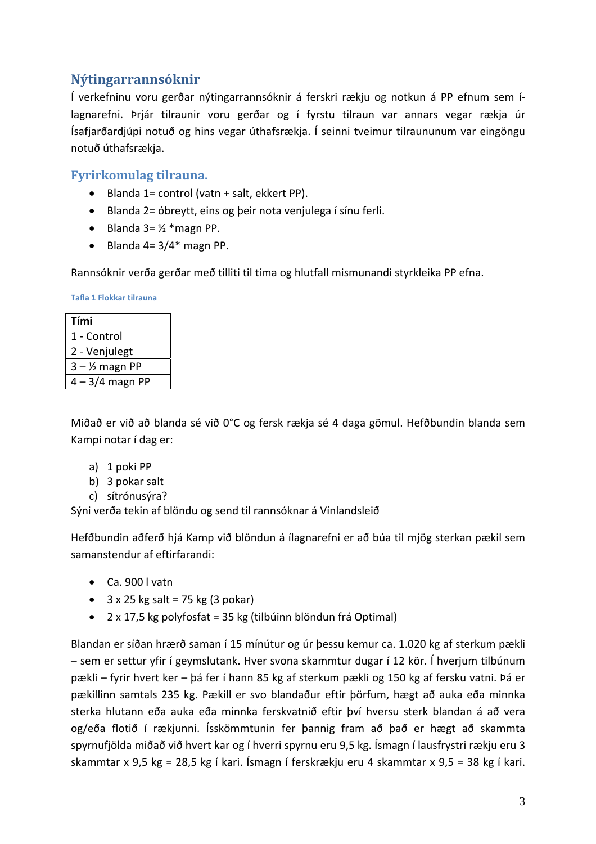#### **Nýtingarrannsóknir**

Í verkefninu voru gerðar nýtingarrannsóknir á ferskri rækju og notkun á PP efnum sem í‐ lagnarefni. Þrjár tilraunir voru gerðar og í fyrstu tilraun var annars vegar rækja úr Ísafjarðardjúpi notuð og hins vegar úthafsrækja. Í seinni tveimur tilraununum var eingöngu notuð úthafsrækja.

#### **Fyrirkomulag tilrauna.**

- Blanda 1= control (vatn + salt, ekkert PP).
- Blanda 2= óbreytt, eins og þeir nota venjulega í sínu ferli.
- $\bullet$  Blanda 3=  $\frac{1}{2}$  \* magn PP.
- $\bullet$  Blanda 4= 3/4\* magn PP.

Rannsóknir verða gerðar með tilliti til tíma og hlutfall mismunandi styrkleika PP efna.

**Tafla 1 Flokkar tilrauna**

| Tími              |
|-------------------|
| 1 - Control       |
| 2 - Venjulegt     |
| $3 - 1/2$ magn PP |
| 4 – 3/4 magn PP   |

Miðað er við að blanda sé við 0°C og fersk rækja sé 4 daga gömul. Hefðbundin blanda sem Kampi notar í dag er:

- a) 1 poki PP
- b) 3 pokar salt
- c) sítrónusýra?

Sýni verða tekin af blöndu og send til rannsóknar á Vínlandsleið

Hefðbundin aðferð hjá Kamp við blöndun á ílagnarefni er að búa til mjög sterkan pækil sem samanstendur af eftirfarandi:

- Ca. 900 l vatn
- $\bullet$  3 x 25 kg salt = 75 kg (3 pokar)
- 2 x 17,5 kg polyfosfat = 35 kg (tilbúinn blöndun frá Optimal)

Blandan er síðan hrærð saman í 15 mínútur og úr þessu kemur ca. 1.020 kg af sterkum pækli – sem er settur yfir í geymslutank. Hver svona skammtur dugar í 12 kör. Í hverjum tilbúnum pækli – fyrir hvert ker – þá fer í hann 85 kg af sterkum pækli og 150 kg af fersku vatni. Þá er pækillinn samtals 235 kg. Pækill er svo blandaður eftir þörfum, hægt að auka eða minnka sterka hlutann eða auka eða minnka ferskvatnið eftir því hversu sterk blandan á að vera og/eða flotið í rækjunni. Ísskömmtunin fer þannig fram að það er hægt að skammta spyrnufjölda miðað við hvert kar og í hverri spyrnu eru 9,5 kg. Ísmagn í lausfrystri rækju eru 3 skammtar x 9,5 kg = 28,5 kg í kari. Ísmagn í ferskrækju eru 4 skammtar x 9,5 = 38 kg í kari.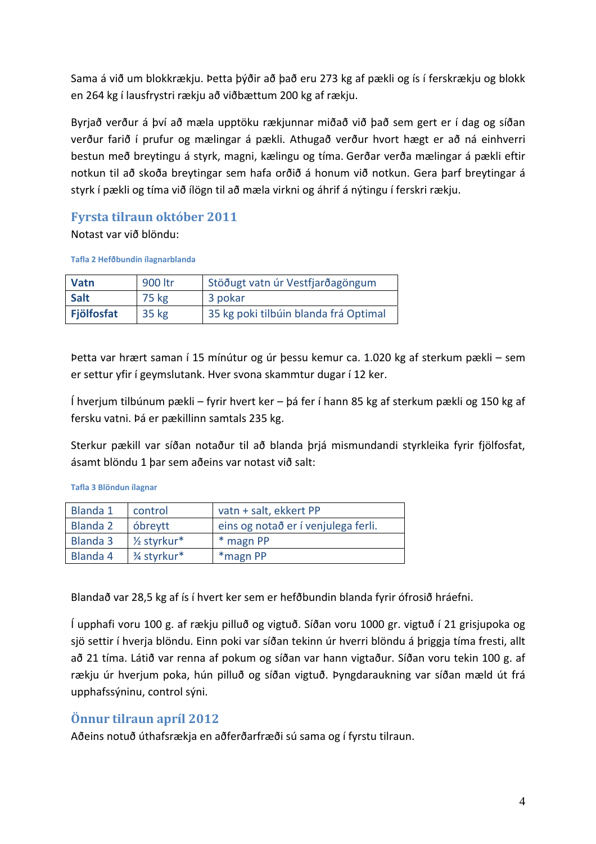Sama á við um blokkrækju. Þetta þýðir að það eru 273 kg af pækli og ís í ferskrækju og blokk en 264 kg í lausfrystri rækju að viðbættum 200 kg af rækju.

Byrjað verður á því að mæla upptöku rækjunnar miðað við það sem gert er í dag og síðan verður farið í prufur og mælingar á pækli. Athugað verður hvort hægt er að ná einhverri bestun með breytingu á styrk, magni, kælingu og tíma. Gerðar verða mælingar á pækli eftir notkun til að skoða breytingar sem hafa orðið á honum við notkun. Gera þarf breytingar á styrk í pækli og tíma við ílögn til að mæla virkni og áhrif á nýtingu í ferskri rækju.

#### **Fyrsta tilraun október 2011**

Notast var við blöndu:

**Tafla 2 Hefðbundin ílagnarblanda**

| <b>Vatn</b>       | 900 ltr | Stöðugt vatn úr Vestfjarðagöngum      |
|-------------------|---------|---------------------------------------|
| <b>Salt</b>       | 75 kg   | 3 pokar                               |
| <b>Fjölfosfat</b> | 35 kg   | 35 kg poki tilbúin blanda frá Optimal |

Þetta var hrært saman í 15 mínútur og úr þessu kemur ca. 1.020 kg af sterkum pækli – sem er settur yfir í geymslutank. Hver svona skammtur dugar í 12 ker.

Í hverjum tilbúnum pækli – fyrir hvert ker – þá fer í hann 85 kg af sterkum pækli og 150 kg af fersku vatni. Þá er pækillinn samtals 235 kg.

Sterkur pækill var síðan notaður til að blanda þrjá mismundandi styrkleika fyrir fjölfosfat, ásamt blöndu 1 þar sem aðeins var notast við salt:

**Tafla 3 Blöndun ílagnar**

| <b>Blanda 1</b> | control                  | vatn + salt, ekkert PP              |
|-----------------|--------------------------|-------------------------------------|
| <b>Blanda 2</b> | óbreytt                  | eins og notað er í venjulega ferli. |
| Blanda 3        | 1/ <sub>2</sub> styrkur* | * magn PP                           |
| Blanda 4        | 3⁄4 styrkur*             | *magn PP                            |

Blandað var 28,5 kg af ís í hvert ker sem er hefðbundin blanda fyrir ófrosið hráefni.

Í upphafi voru 100 g. af rækju pilluð og vigtuð. Síðan voru 1000 gr. vigtuð í 21 grisjupoka og sjö settir í hverja blöndu. Einn poki var síðan tekinn úr hverri blöndu á þriggja tíma fresti, allt að 21 tíma. Látið var renna af pokum og síðan var hann vigtaður. Síðan voru tekin 100 g. af rækju úr hverjum poka, hún pilluð og síðan vigtuð. Þyngdaraukning var síðan mæld út frá upphafssýninu, control sýni.

#### **Önnur tilraun apríl 2012**

Aðeins notuð úthafsrækja en aðferðarfræði sú sama og í fyrstu tilraun.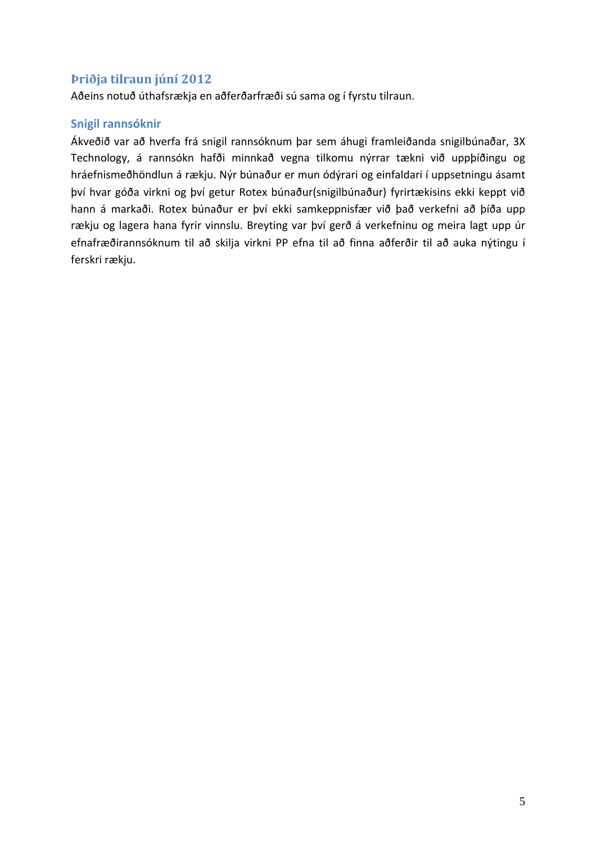#### **Þriðja tilraun júní 2012**

Aðeins notuð úthafsrækja en aðferðarfræði sú sama og í fyrstu tilraun.

#### **Snigil rannsóknir**

Ákveðið var að hverfa frá snigil rannsóknum þar sem áhugi framleiðanda snigilbúnaðar, 3X Technology, á rannsókn hafði minnkað vegna tilkomu nýrrar tækni við uppþíðingu og hráefnismeðhöndlun á rækju. Nýr búnaður er mun ódýrari og einfaldari í uppsetningu ásamt því hvar góða virkni og því getur Rotex búnaður(snigilbúnaður) fyrirtækisins ekki keppt við hann á markaði. Rotex búnaður er því ekki samkeppnisfær við það verkefni að þíða upp rækju og lagera hana fyrir vinnslu. Breyting var því gerð á verkefninu og meira lagt upp úr efnafræðirannsóknum til að skilja virkni PP efna til að finna aðferðir til að auka nýtingu í ferskri rækju.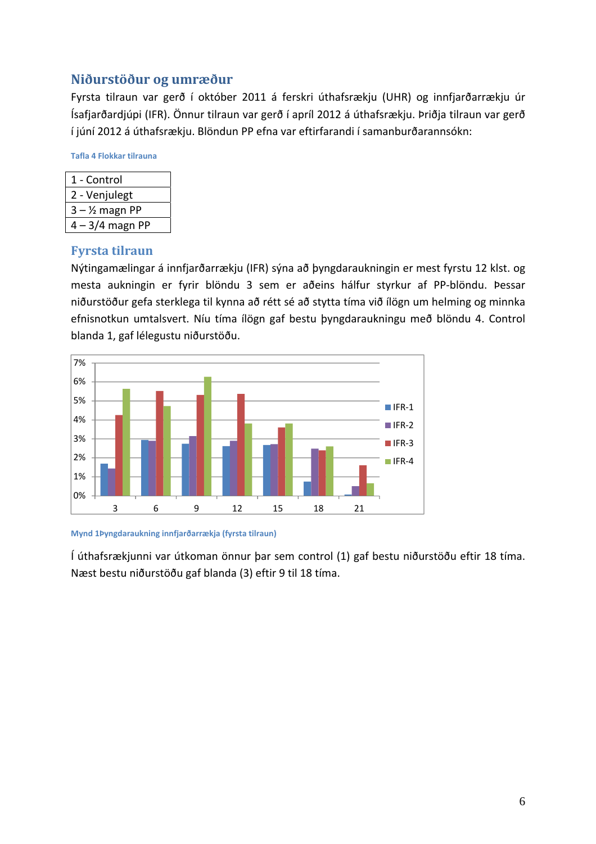#### **Niðurstöður og umræður**

Fyrsta tilraun var gerð í október 2011 á ferskri úthafsrækju (UHR) og innfjarðarrækju úr Ísafjarðardjúpi (IFR). Önnur tilraun var gerð í apríl 2012 á úthafsrækju. Þriðja tilraun var gerð í júní 2012 á úthafsrækju. Blöndun PP efna var eftirfarandi í samanburðarannsókn:

**Tafla 4 Flokkar tilrauna**

| 1 - Control       |
|-------------------|
| 2 - Venjulegt     |
| $3 - 1/2$ magn PP |
| 4 – 3/4 magn PP   |

#### **Fyrsta tilraun**

Nýtingamælingar á innfjarðarrækju (IFR) sýna að þyngdaraukningin er mest fyrstu 12 klst. og mesta aukningin er fyrir blöndu 3 sem er aðeins hálfur styrkur af PP‐blöndu. Þessar niðurstöður gefa sterklega til kynna að rétt sé að stytta tíma við ílögn um helming og minnka efnisnotkun umtalsvert. Níu tíma ílögn gaf bestu þyngdaraukningu með blöndu 4. Control blanda 1, gaf lélegustu niðurstöðu.



**Mynd 1Þyngdaraukning innfjarðarrækja (fyrsta tilraun)**

Í úthafsrækjunni var útkoman önnur þar sem control (1) gaf bestu niðurstöðu eftir 18 tíma. Næst bestu niðurstöðu gaf blanda (3) eftir 9 til 18 tíma.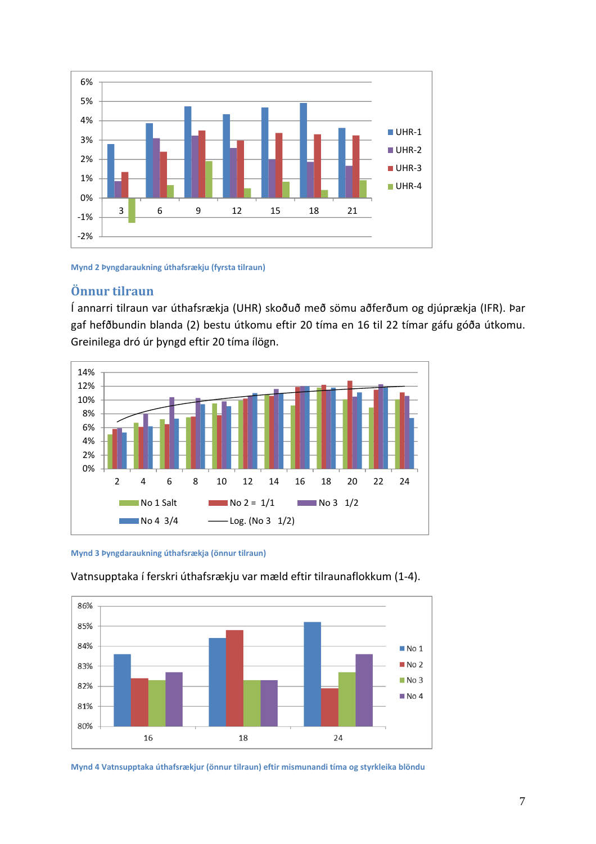

#### **Mynd 2 Þyngdaraukning úthafsrækju (fyrsta tilraun)**

#### **Önnur tilraun**

Í annarri tilraun var úthafsrækja (UHR) skoðuð með sömu aðferðum og djúprækja (IFR). Þar gaf hefðbundin blanda (2) bestu útkomu eftir 20 tíma en 16 til 22 tímar gáfu góða útkomu. Greinilega dró úr þyngd eftir 20 tíma ílögn.



**Mynd 3 Þyngdaraukning úthafsrækja (önnur tilraun)**



#### Vatnsupptaka í ferskri úthafsrækju var mæld eftir tilraunaflokkum (1‐4).

**Mynd 4 Vatnsupptaka úthafsrækjur (önnur tilraun) eftir mismunandi tíma og styrkleika blöndu**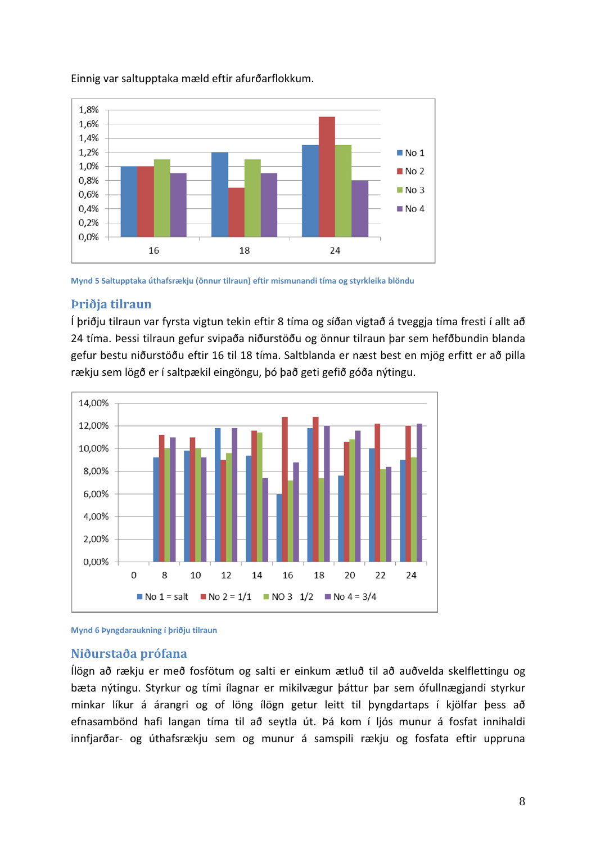

#### Einnig var saltupptaka mæld eftir afurðarflokkum.

**Mynd 5 Saltupptaka úthafsrækju (önnur tilraun) eftir mismunandi tíma og styrkleika blöndu**

#### **Þriðja tilraun**

Í þriðju tilraun var fyrsta vigtun tekin eftir 8 tíma og síðan vigtað á tveggja tíma fresti í allt að 24 tíma. Þessi tilraun gefur svipaða niðurstöðu og önnur tilraun þar sem hefðbundin blanda gefur bestu niðurstöðu eftir 16 til 18 tíma. Saltblanda er næst best en mjög erfitt er að pilla rækju sem lögð er í saltpækil eingöngu, þó það geti gefið góða nýtingu.



**Mynd 6 Þyngdaraukning í þriðju tilraun**

#### **Niðurstaða prófana**

Ílögn að rækju er með fosfötum og salti er einkum ætluð til að auðvelda skelflettingu og bæta nýtingu. Styrkur og tími ílagnar er mikilvægur þáttur þar sem ófullnægjandi styrkur minkar líkur á árangri og of löng ílögn getur leitt til þyngdartaps í kjölfar þess að efnasambönd hafi langan tíma til að seytla út. Þá kom í ljós munur á fosfat innihaldi innfjarðar‐ og úthafsrækju sem og munur á samspili rækju og fosfata eftir uppruna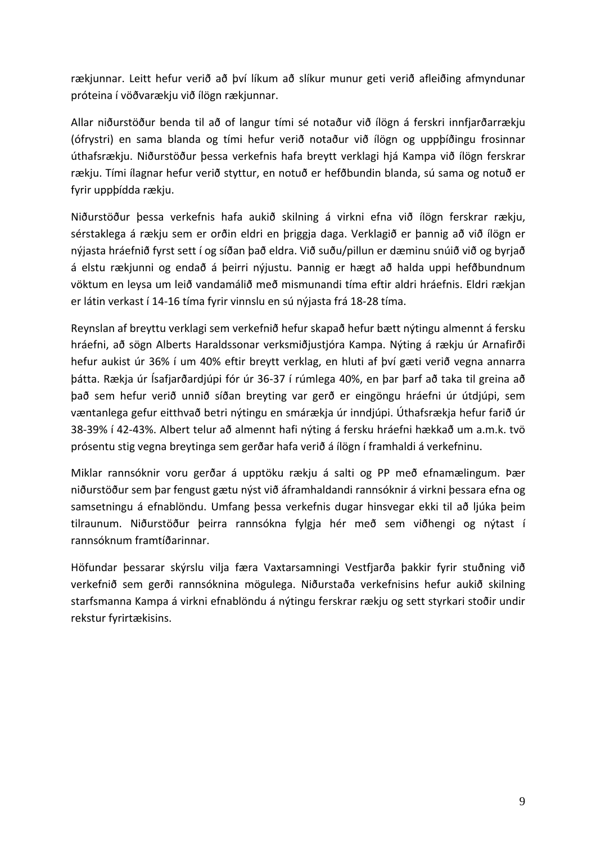rækjunnar. Leitt hefur verið að því líkum að slíkur munur geti verið afleiðing afmyndunar próteina í vöðvarækju við ílögn rækjunnar.

Allar niðurstöður benda til að of langur tími sé notaður við ílögn á ferskri innfjarðarrækju (ófrystri) en sama blanda og tími hefur verið notaður við ílögn og uppþíðingu frosinnar úthafsrækju. Niðurstöður þessa verkefnis hafa breytt verklagi hjá Kampa við ílögn ferskrar rækju. Tími ílagnar hefur verið styttur, en notuð er hefðbundin blanda, sú sama og notuð er fyrir uppþídda rækju.

Niðurstöður þessa verkefnis hafa aukið skilning á virkni efna við ílögn ferskrar rækju, sérstaklega á rækju sem er orðin eldri en þriggja daga. Verklagið er þannig að við ílögn er nýjasta hráefnið fyrst sett í og síðan það eldra. Við suðu/pillun er dæminu snúið við og byrjað á elstu rækjunni og endað á þeirri nýjustu. Þannig er hægt að halda uppi hefðbundnum vöktum en leysa um leið vandamálið með mismunandi tíma eftir aldri hráefnis. Eldri rækjan er látin verkast í 14‐16 tíma fyrir vinnslu en sú nýjasta frá 18‐28 tíma.

Reynslan af breyttu verklagi sem verkefnið hefur skapað hefur bætt nýtingu almennt á fersku hráefni, að sögn Alberts Haraldssonar verksmiðjustjóra Kampa. Nýting á rækju úr Arnafirði hefur aukist úr 36% í um 40% eftir breytt verklag, en hluti af því gæti verið vegna annarra þátta. Rækja úr Ísafjarðardjúpi fór úr 36‐37 í rúmlega 40%, en þar þarf að taka til greina að það sem hefur verið unnið síðan breyting var gerð er eingöngu hráefni úr útdjúpi, sem væntanlega gefur eitthvað betri nýtingu en smárækja úr inndjúpi. Úthafsrækja hefur farið úr 38‐39% í 42‐43%. Albert telur að almennt hafi nýting á fersku hráefni hækkað um a.m.k. tvö prósentu stig vegna breytinga sem gerðar hafa verið á ílögn í framhaldi á verkefninu.

Miklar rannsóknir voru gerðar á upptöku rækju á salti og PP með efnamælingum. Þær niðurstöður sem þar fengust gætu nýst við áframhaldandi rannsóknir á virkni þessara efna og samsetningu á efnablöndu. Umfang þessa verkefnis dugar hinsvegar ekki til að ljúka þeim tilraunum. Niðurstöður þeirra rannsókna fylgja hér með sem viðhengi og nýtast í rannsóknum framtíðarinnar.

Höfundar þessarar skýrslu vilja færa Vaxtarsamningi Vestfjarða þakkir fyrir stuðning við verkefnið sem gerði rannsóknina mögulega. Niðurstaða verkefnisins hefur aukið skilning starfsmanna Kampa á virkni efnablöndu á nýtingu ferskrar rækju og sett styrkari stoðir undir rekstur fyrirtækisins.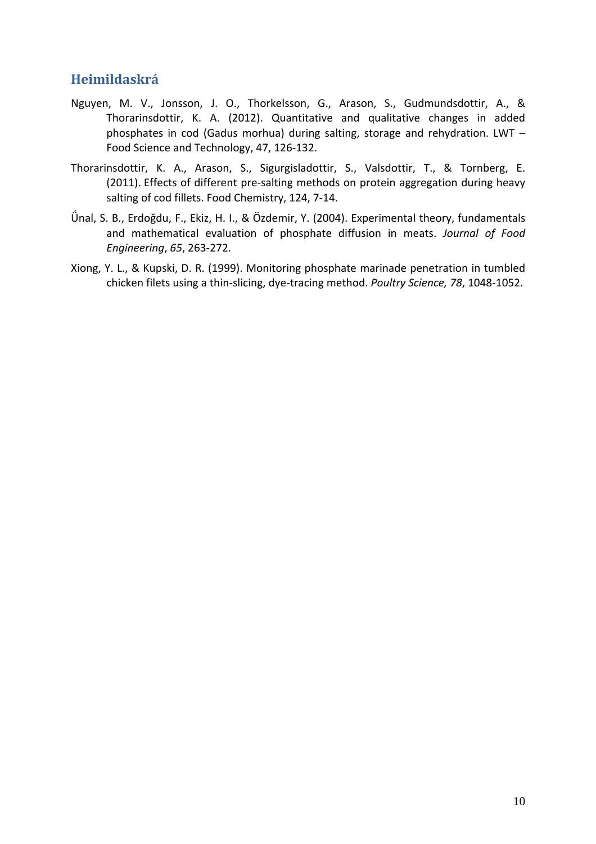### **Heimildaskrá**

- Nguyen, M. V., Jonsson, J. O., Thorkelsson, G., Arason, S., Gudmundsdottir, A., & Thorarinsdottir, K. A. (2012). Quantitative and qualitative changes in added phosphates in cod (Gadus morhua) during salting, storage and rehydration. LWT – Food Science and Technology, 47, 126‐132.
- Thorarinsdottir, K. A., Arason, S., Sigurgisladottir, S., Valsdottir, T., & Tornberg, E. (2011). Effects of different pre-salting methods on protein aggregation during heavy salting of cod fillets. Food Chemistry, 124, 7‐14.
- Ǘnal, S. B., Erdoğdu, F., Ekiz, H. I., & Özdemir, Y. (2004). Experimental theory, fundamentals and mathematical evaluation of phosphate diffusion in meats. *Journal of Food Engineering*, *65*, 263‐272.
- Xiong, Y. L., & Kupski, D. R. (1999). Monitoring phosphate marinade penetration in tumbled chicken filets using a thin‐slicing, dye‐tracing method. *Poultry Science, 78*, 1048‐1052.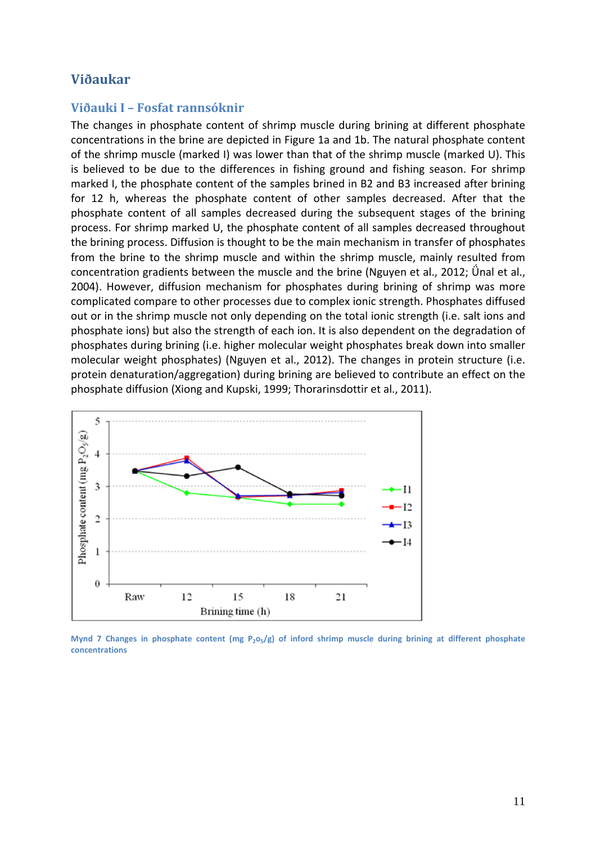#### **Viðaukar**

#### **Viðauki I – Fosfat rannsóknir**

The changes in phosphate content of shrimp muscle during brining at different phosphate concentrations in the brine are depicted in Figure 1a and 1b. The natural phosphate content of the shrimp muscle (marked I) was lower than that of the shrimp muscle (marked U). This is believed to be due to the differences in fishing ground and fishing season. For shrimp marked I, the phosphate content of the samples brined in B2 and B3 increased after brining for 12 h, whereas the phosphate content of other samples decreased. After that the phosphate content of all samples decreased during the subsequent stages of the brining process. For shrimp marked U, the phosphate content of all samples decreased throughout the brining process. Diffusion is thought to be the main mechanism in transfer of phosphates from the brine to the shrimp muscle and within the shrimp muscle, mainly resulted from concentration gradients between the muscle and the brine (Nguyen et al., 2012; Unal et al., 2004). However, diffusion mechanism for phosphates during brining of shrimp was more complicated compare to other processes due to complex ionic strength. Phosphates diffused out or in the shrimp muscle not only depending on the total ionic strength (i.e. salt ions and phosphate ions) but also the strength of each ion. It is also dependent on the degradation of phosphates during brining (i.e. higher molecular weight phosphates break down into smaller molecular weight phosphates) (Nguyen et al., 2012). The changes in protein structure (i.e. protein denaturation/aggregation) during brining are believed to contribute an effect on the phosphate diffusion (Xiong and Kupski, 1999; Thorarinsdottir et al., 2011).



Mynd 7 Changes in phosphate content (mg  $P_2O_5/g$ ) of inford shrimp muscle during brining at different phosphate **concentrations**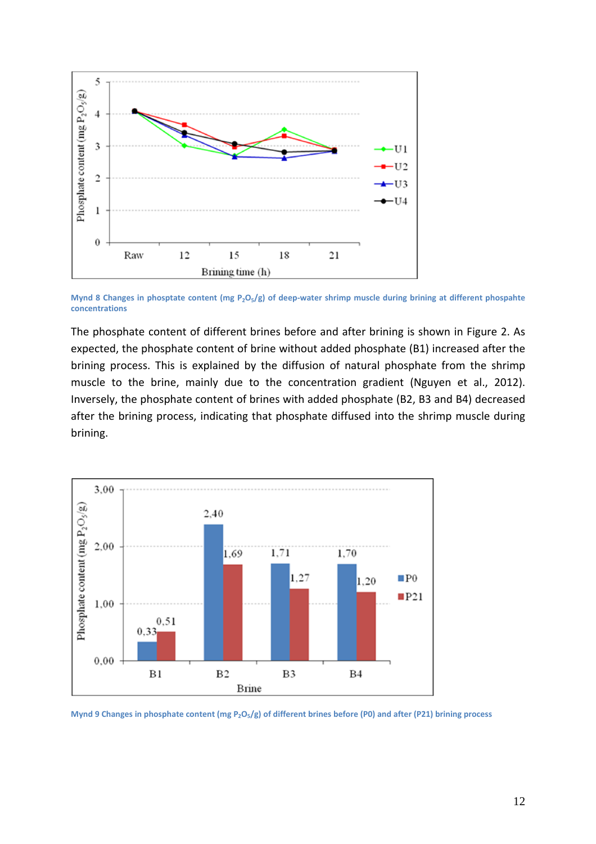

Mynd 8 Changes in phosptate content (mg  $P_2O_5/g$ ) of deep-water shrimp muscle during brining at different phospahte **concentrations**

The phosphate content of different brines before and after brining is shown in Figure 2. As expected, the phosphate content of brine without added phosphate (B1) increased after the brining process. This is explained by the diffusion of natural phosphate from the shrimp muscle to the brine, mainly due to the concentration gradient (Nguyen et al., 2012). Inversely, the phosphate content of brines with added phosphate (B2, B3 and B4) decreased after the brining process, indicating that phosphate diffused into the shrimp muscle during brining.



Mynd 9 Changes in phosphate content (mg  $P_2O_5/g$ ) of different brines before (P0) and after (P21) brining process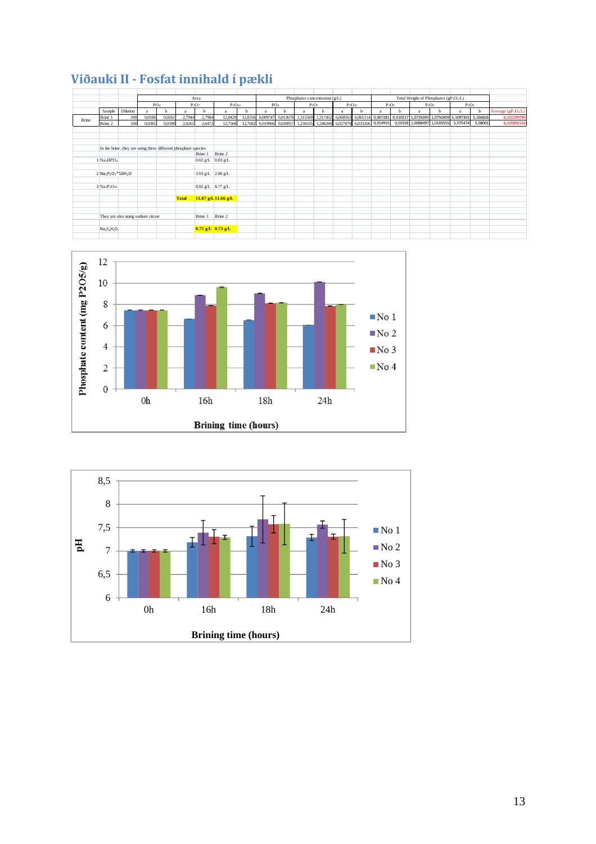|       |                                                                     |                                                                |                 |        |              | Area                  |                       |         |          | Phosphates concentration (g/L)<br>Total Weight of Phosphates (gP <sub>2</sub> O <sub>5</sub> /L) |          |          |          |             |                                     |          |                             |          |                                                 |         |                                             |
|-------|---------------------------------------------------------------------|----------------------------------------------------------------|-----------------|--------|--------------|-----------------------|-----------------------|---------|----------|--------------------------------------------------------------------------------------------------|----------|----------|----------|-------------|-------------------------------------|----------|-----------------------------|----------|-------------------------------------------------|---------|---------------------------------------------|
|       |                                                                     |                                                                | PO <sub>4</sub> |        |              | $P_2O_7$              | $P_3O_{10}$           |         |          | PO <sub>4</sub>                                                                                  |          | $P_2O_7$ |          | $P_3O_{10}$ |                                     | $P_2O_5$ |                             | $P_2O_5$ | $P_2O_5$                                        |         |                                             |
|       | Sample                                                              | Dilution                                                       | a               | b.     | a            | b                     | a                     | b       | a        | b                                                                                                | a        | b        | a        | b           | a                                   | b        | a                           | b        |                                                 | b       | Average (gP <sub>2</sub> O <sub>5</sub> /L) |
| Brine | Brine 1                                                             | 100                                                            | 0,0186          | 0,0261 | 2,7944       | 2,7984                | 12,8429               | 12,8356 | 0,009747 | 0,013678                                                                                         | 1,315569 | 1,317452 | 6,068563 | 6,065114    | 0,007281                            |          |                             |          | 0,010217 1,0735043 1,0750409 5,1097301 5,106826 |         | 6,191299795                                 |
|       | Brine 2                                                             | 100                                                            | 0,0381          | 0,0398 | 2,6261       | 2,6472                | 12,7568               | 12,7682 | 0,019966 | 0,020857                                                                                         | 1,236335 |          |          |             | 1,246269 6,027879 6,033266 0,014915 |          | 0,01558 1,0088497 1,0169555 |          | 5,075474                                        | 5,08001 | 6,105892102                                 |
|       |                                                                     |                                                                |                 |        |              |                       |                       |         |          |                                                                                                  |          |          |          |             |                                     |          |                             |          |                                                 |         |                                             |
|       |                                                                     |                                                                |                 |        |              |                       |                       |         |          |                                                                                                  |          |          |          |             |                                     |          |                             |          |                                                 |         |                                             |
|       |                                                                     |                                                                |                 |        |              |                       |                       |         |          |                                                                                                  |          |          |          |             |                                     |          |                             |          |                                                 |         |                                             |
|       |                                                                     | In the brine, they are using three different phosphate species |                 |        |              |                       |                       |         |          |                                                                                                  |          |          |          |             |                                     |          |                             |          |                                                 |         |                                             |
|       |                                                                     |                                                                |                 |        |              | Brine 1               | Brine 2               |         |          |                                                                                                  |          |          |          |             |                                     |          |                             |          |                                                 |         |                                             |
|       | 1 Na <sub>2</sub> HPO <sub>4</sub>                                  |                                                                |                 |        |              | $0.02$ g/L $0.03$ g/L |                       |         |          |                                                                                                  |          |          |          |             |                                     |          |                             |          |                                                 |         |                                             |
|       |                                                                     |                                                                |                 |        |              |                       |                       |         |          |                                                                                                  |          |          |          |             |                                     |          |                             |          |                                                 |         |                                             |
|       |                                                                     |                                                                |                 |        |              |                       |                       |         |          |                                                                                                  |          |          |          |             |                                     |          |                             |          |                                                 |         |                                             |
|       | 2 Na <sub>2</sub> P <sub>2</sub> O <sub>7</sub> *10H <sub>2</sub> O |                                                                |                 |        |              | $3.03$ g/L $2.86$ g/L |                       |         |          |                                                                                                  |          |          |          |             |                                     |          |                             |          |                                                 |         |                                             |
|       |                                                                     |                                                                |                 |        |              |                       |                       |         |          |                                                                                                  |          |          |          |             |                                     |          |                             |          |                                                 |         |                                             |
|       | $3$ Na <sub>5</sub> P <sub>3</sub> O <sub>10</sub>                  |                                                                |                 |        |              | 8.82 g/L 8.77 g/L     |                       |         |          |                                                                                                  |          |          |          |             |                                     |          |                             |          |                                                 |         |                                             |
|       |                                                                     |                                                                |                 |        |              |                       |                       |         |          |                                                                                                  |          |          |          |             |                                     |          |                             |          |                                                 |         |                                             |
|       |                                                                     |                                                                |                 |        | <b>Total</b> |                       | 11.87 g/L 11.66 g/L   |         |          |                                                                                                  |          |          |          |             |                                     |          |                             |          |                                                 |         |                                             |
|       |                                                                     |                                                                |                 |        |              |                       |                       |         |          |                                                                                                  |          |          |          |             |                                     |          |                             |          |                                                 |         |                                             |
|       |                                                                     |                                                                |                 |        |              |                       |                       |         |          |                                                                                                  |          |          |          |             |                                     |          |                             |          |                                                 |         |                                             |
|       |                                                                     | They are also using sodium citrate                             |                 |        |              | Brine 1               | Brine 2               |         |          |                                                                                                  |          |          |          |             |                                     |          |                             |          |                                                 |         |                                             |
|       |                                                                     |                                                                |                 |        |              |                       |                       |         |          |                                                                                                  |          |          |          |             |                                     |          |                             |          |                                                 |         |                                             |
|       | $Na_3C_6H_5O_7$                                                     |                                                                |                 |        |              |                       | $0.75$ g/L $0.73$ g/L |         |          |                                                                                                  |          |          |          |             |                                     |          |                             |          |                                                 |         |                                             |
|       |                                                                     |                                                                |                 |        |              |                       |                       |         |          |                                                                                                  |          |          |          |             |                                     |          |                             |          |                                                 |         |                                             |

### **Viðauki II ‐ Fosfat innihald í pækli**



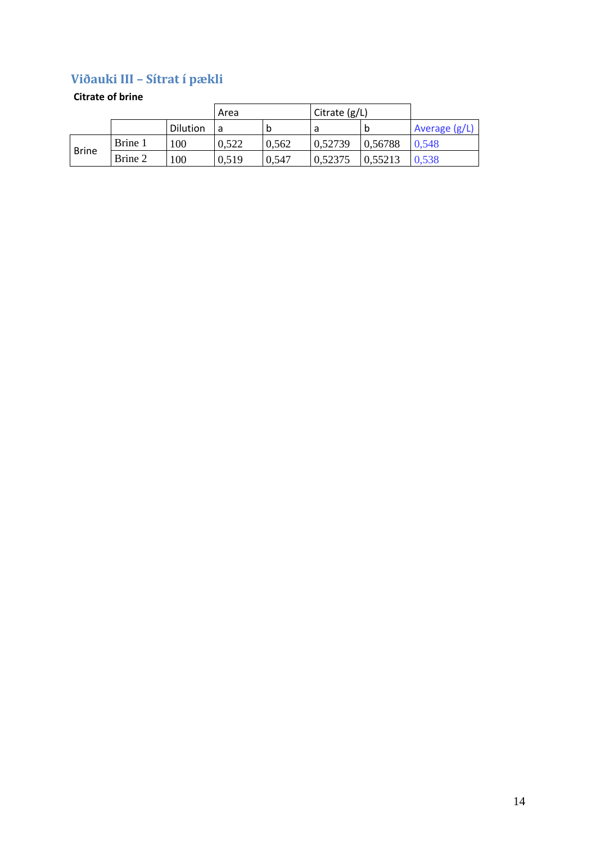### **Viðauki III – Sítrat í pækli**

#### **Citrate of brine**

|              |         |          | Area  |       | Citrate $(g/L)$ |         |                 |
|--------------|---------|----------|-------|-------|-----------------|---------|-----------------|
|              |         | Dilution |       | b     |                 | b       | Average $(g/L)$ |
| <b>Brine</b> | Brine 1 | 100      | 0,522 | 0,562 | 0,52739         | 0,56788 | 0.548           |
|              | Brine 2 | 100      | 0,519 | 0,547 | 0,52375         | 0,55213 | 0.538           |